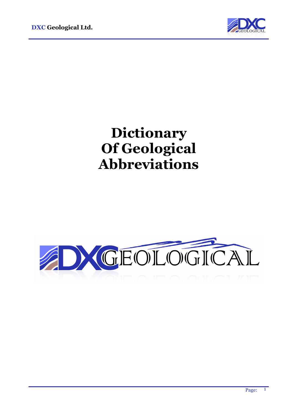

# **Dictionary Of Geological Abbreviations**

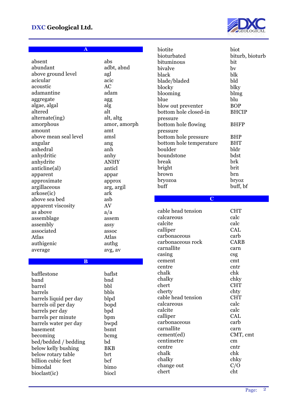

**A**

| absent                  | abs          |
|-------------------------|--------------|
| abundant                | adbt, abnd   |
| above ground level      | agl          |
| acicular                | acic         |
| acoustic                | AC           |
| adamantine              | adam         |
| aggregate               | agg          |
| algae, algal            | alg          |
| altered                 | alt          |
| alternate(ing)          | alt, altg    |
|                         | amor, amorph |
| amorphous<br>amount     | amt          |
| above mean seal level   | amsl         |
|                         |              |
| angular                 | ang          |
| anhedral                | anh          |
| anhydritic              | anhy         |
| anhydrite               | <b>ANHY</b>  |
| anticline(al)           | anticl       |
| apparent                | appar        |
| approximate             | approx       |
| argillaceous            | arg, argil   |
| arkose(ic)              | ark          |
| above sea bed           | asb          |
| apparent viscosity      | AV           |
| as above                | a/a          |
| assemblage              | assem        |
| assembly                | assy         |
| associated              | assoc        |
| Atlas                   | Atlas        |
| authigenic              | authg        |
| average                 | avg, av      |
|                         |              |
| $\overline{\mathbf{B}}$ |              |
| bafflestone             | baflst       |
| band                    | bnd          |
| barrel                  | bbl          |
| barrels                 | bbls         |
| barrels liquid per day  | blpd         |
| barrels oil per day     | bopd         |
| barrels per day         | bpd          |
| barrels per minute      | bpm          |
| barrels water per day   | bwpd         |
| basement                | bsmt         |
| becoming                | bcmg         |
| bed/bedded / bedding    | bd           |
| below kelly bushing     | <b>BKB</b>   |
| below rotary table      | brt          |
| billion cubic feet      | bcf          |
|                         |              |
| bimodal                 | bimo         |
| bioclast(ic)            | biocl        |

| biotite                 | biot            |
|-------------------------|-----------------|
| bioturbated             |                 |
|                         | biturb, bioturb |
| bituminous              | bit             |
| bivalve                 | by              |
| black                   | blk             |
| blade/bladed            | bld             |
| blocky                  | blky            |
| blooming                | blmg            |
| blue                    | blu             |
|                         |                 |
| blow out preventer      | <b>BOP</b>      |
| bottom hole closed-in   | <b>BHCIP</b>    |
| pressure                |                 |
| bottom hole flowing     | <b>BHFP</b>     |
| pressure                |                 |
| bottom hole pressure    | <b>BHP</b>      |
| bottom hole temperature | <b>BHT</b>      |
| boulder                 | bldr            |
|                         |                 |
| boundstone              | bdst            |
| break                   | brk             |
| bright                  | brit            |
| brown                   | brn             |
| bryozoa                 | bryoz           |
| buff                    | buff, bf        |
|                         |                 |
| $\overline{\mathbf{C}}$ |                 |
|                         |                 |
|                         |                 |
|                         |                 |
| cable head tension      | <b>CHT</b>      |
| calcareous              | calc            |
| calcite                 | calc            |
| calliper                | CAL             |
| carbonaceous            | carb            |
| carbonaceous rock       | <b>CARB</b>     |
| carnallite              | carn            |
|                         |                 |
| casing                  | csg<br>cmt      |
| cement                  |                 |
| centre                  | cntr            |
| chalk                   | chk             |
| chalky                  | chky            |
| chert                   | <b>CHT</b>      |
| cherty                  | chty            |
| cable head tension      | <b>CHT</b>      |
| calcareous              | calc            |
| calcite                 | calc            |
|                         |                 |
| calliper                | CAL             |
| carbonaceous            | carb            |
| carnallite              | carn            |
| cement(ed)              | CMT, cmt        |
| centimetre              | cm              |
| centre                  | cntr            |
| chalk                   | chk             |
| chalky                  | chky            |
| change out<br>chert     | C/O<br>cht      |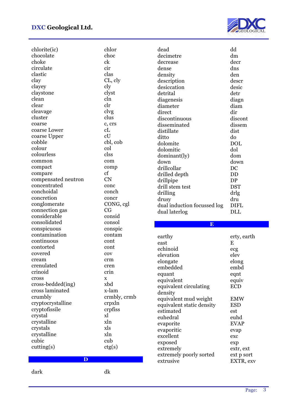

| chlorite(ic)        | chlor        |
|---------------------|--------------|
| chocolate           | choc         |
| choke               | ck           |
| circulate           | cir          |
| clastic             | clas         |
| clay                | CL, cly      |
| clayey              | cly          |
| claystone           | clyst        |
| clean               | cln          |
| clear               | $_{\rm clr}$ |
| cleavage            | clvg         |
| cluster             | clus         |
| coarse              | c, crs       |
| coarse Lower        | cL           |
| coarse Upper        | cU           |
| cobble              | cbl, cob     |
| colour              | col          |
| colourless          | clss         |
| common              | com          |
| compact             | comp         |
| compare             | $_{\rm cf}$  |
| compensated neutron | <b>CN</b>    |
| concentrated        | conc         |
| conchoidal          | conch        |
| concretion          | concr        |
| conglomerate        | CONG, cgl    |
| connection gas      | CG           |
| considerable        | consid       |
| consolidated        | consol       |
| conspicuous         | conspic      |
| contamination       | contam       |
| continuous          | cont         |
| contorted           | cont         |
| covered             | cov          |
| cream               | crm          |
| crenulated          | cren         |
| crinoid             | crin         |
| cross               | X            |
| cross-bedded(ing)   | xbd          |
| cross laminated     | x-lam        |
| crumbly             | crmbly, crmb |
| cryptocrystalline   | crpxln       |
| cryptofissile       | crpfiss      |
| crystal             | xl           |
| crystalline         | xln          |
| crystals            | xls          |
| crystalline         | xln          |
| cubic               | cub          |
| cutting(s)          | ctg(s)       |
|                     |              |
| $\mathbf{D}$        |              |

dead dd decimetre dm decrease decr dense dns density den description description<br>desiccation desic desiccation detrital detr diagenesis diagn diameter dia<br>direct direct direct discontinuous discont disseminated dissem distillate dist ditto do dolomite dolomitic dol dominant(ly) dom down down drillcollar DC drilled depth DD drillpipe DP<br>drill stem test DST drill stem test drilling drlg drusy dru dual induction focussed log DIFL dual laterlog DLL **E** earthy erty, earth east E echinoid ecg

elevation elev elongate elong embedded embd equant eqnt equivalent equiv

equivalent mud weight EMW equivalent static density ESD estimated est euhedral euhd evaporite EVAP evaporitic evap excellent exc exposed exp extremely extr, ext extremely poorly sorted ext p sort extrusive EXTR, exv

equivalent circulating

density

ECD

dark dk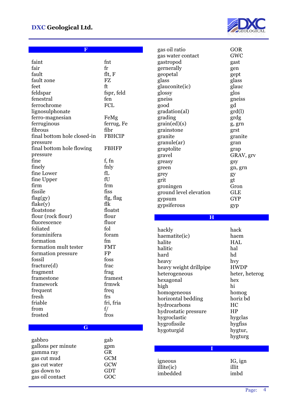

**F** 

| faint                          | fnt               |
|--------------------------------|-------------------|
| fair                           | fr                |
| fault                          | flt, F            |
| fault zone                     | FZ                |
| feet                           | ft                |
| feldspar                       | fspr, feld        |
| fenestral                      | fen               |
| ferrochrome                    | <b>FCL</b>        |
| lignosulphonate                |                   |
| ferro-magnesian                | FeMg              |
| ferruginous                    | ferrug, Fe        |
| fibrous                        | fibr              |
| final bottom hole closed-in    | <b>FBHCIP</b>     |
| pressure                       |                   |
| final bottom hole flowing      | <b>FBHFP</b>      |
| pressure                       |                   |
| fine                           | f, fn             |
| finely                         | fnly              |
| fine Lower                     | fL                |
| fine Upper                     | fU                |
| firm                           | frm               |
| fissile                        | fiss              |
| flag(gy)                       | flg, flag         |
| flake(y)                       | flk               |
| floatstone                     | floatst           |
| flour (rock flour)             | flour             |
| fluorescence                   | fluor             |
| foliated                       | fol               |
| foraminifera                   | foram             |
| formation                      | fm                |
| formation mult tester          | <b>FMT</b>        |
| formation pressure             | <b>FP</b>         |
| fossil                         | foss              |
| fracture(d)                    | frac              |
| fragment                       | frag              |
| framestone                     | framest           |
| framework                      | frmwk             |
| frequent                       | freq              |
| fresh                          | frs               |
| friable                        | fri, fria         |
| from                           | f/                |
| frosted                        | fros              |
|                                |                   |
| G                              |                   |
|                                |                   |
| gabbro                         | gab               |
| gallons per minute             | gpm               |
| gamma ray                      | GR                |
| gas cut mud                    | <b>GCM</b>        |
|                                |                   |
| gas cut water                  | GCW               |
| gas down to<br>gas oil contact | <b>GDT</b><br>GOC |

| gas oil ratio           | GOR             |
|-------------------------|-----------------|
| gas water contact       | GWC             |
| gastropod               | gast            |
| gernerally              | gen             |
| geopetal                | gept            |
| glass                   | glass           |
| glauconite(ic)          | glauc           |
|                         | glos            |
| glossy                  |                 |
| gneiss                  | gneiss          |
| good                    | gd              |
| gradation(al)           | $\text{grd}(l)$ |
| grading                 | grdg            |
| grain(ed)(s)            | g, grn          |
| grainstone              | grst            |
| granite                 | granite         |
| granule(ar)             | gran            |
| graptolite              | grap            |
| gravel                  | GRAV, grv       |
| greasy                  | gsy             |
| green                   | gn, grn         |
| grey                    | gy              |
| grit                    | gt              |
| groningen               | Gron            |
| ground level elevation  | <b>GLE</b>      |
| gypsum                  | <b>GYP</b>      |
| gypsiferous             |                 |
|                         | gyp             |
|                         |                 |
|                         |                 |
| $\overline{\mathbf{H}}$ |                 |
|                         |                 |
| hackly                  | hack            |
| haematite(ic)           | haem            |
| halite                  | <b>HAL</b>      |
| halitic                 | hal             |
| hard                    | hd              |
| heavy                   | hvy             |
| heavy weight drillpipe  | <b>HWDP</b>     |
| heterogeneous           | heter, heterog  |
| hexagonal               | hex             |
| high                    | hi              |
| homogeneous             | homog           |
|                         | horiz bd        |
| horizontal bedding      | HC              |
| hydrocarbons            | HP              |
| hydrostatic pressure    |                 |
| hygroclastic            | hygclas         |
| hygrofissile            | hygfiss         |
| hygoturgid              | hygtur,         |
|                         | hygturg         |
| I                       |                 |
|                         |                 |
| igneous                 | IG, ign         |
| illite(ic)              | illit           |
| imbedded                | imbd            |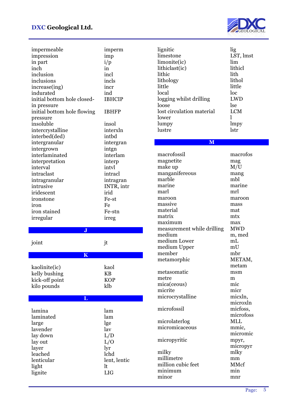

| impermeable                 | imperm           |
|-----------------------------|------------------|
| impression                  | imp              |
| in part                     | i/p              |
| inch                        | in               |
| inclusion                   | incl             |
|                             |                  |
| inclusions                  | incls            |
| increase(ing)               | incr             |
| indurated                   | ind              |
| initial bottom hole closed- | <b>IBHCIP</b>    |
| in pressure                 |                  |
| initial bottom hole flowing | <b>IBHFP</b>     |
| pressure                    |                  |
| insoluble                   | insol            |
| intercrystalline            | interxln         |
| interbed(ded)               | intbd            |
|                             |                  |
| intergranular               | intergran        |
| intergrown                  | intgn            |
| interlaminated              | interlam         |
| interpretation              | interp           |
| interval                    | intyl            |
| intraclast                  | intracl          |
| intragranular               | intragran        |
| intrusive                   | INTR, intr       |
| iridescent                  | irid             |
|                             | Fe-st            |
| ironstone                   |                  |
| iron                        | Fe               |
| iron stained                | Fe-stn           |
|                             |                  |
| irregular                   | irreg            |
|                             |                  |
| J                           |                  |
|                             |                  |
| joint                       | jt               |
|                             |                  |
| $\overline{\mathbf{K}}$     |                  |
|                             |                  |
| kaolinite(ic)               | kaol             |
| kelly bushing               | KB               |
| kick-off point              | <b>KOP</b>       |
| kilo pounds                 | klb              |
|                             |                  |
| L                           |                  |
|                             |                  |
| lamina                      | lam              |
| laminated                   | lam              |
| large                       | lge              |
| lavender                    | lav              |
| lay down                    | L/D              |
|                             |                  |
| lay out                     | L/O              |
| layer                       | lyr              |
| leached                     | lchd             |
| lenticular                  | lent, lentic     |
| light<br>lignite            | lt<br><b>LIG</b> |

| lignitic                                                                                                                                                                                                                                                                                                                                                                                  | lig                                                                                                                                                                                                                                                                                             |
|-------------------------------------------------------------------------------------------------------------------------------------------------------------------------------------------------------------------------------------------------------------------------------------------------------------------------------------------------------------------------------------------|-------------------------------------------------------------------------------------------------------------------------------------------------------------------------------------------------------------------------------------------------------------------------------------------------|
| limestone                                                                                                                                                                                                                                                                                                                                                                                 | LST, lmst                                                                                                                                                                                                                                                                                       |
| limonite(ic)                                                                                                                                                                                                                                                                                                                                                                              | lim                                                                                                                                                                                                                                                                                             |
| lithiclast(ic)                                                                                                                                                                                                                                                                                                                                                                            | lithicl                                                                                                                                                                                                                                                                                         |
| lithic                                                                                                                                                                                                                                                                                                                                                                                    | lith                                                                                                                                                                                                                                                                                            |
| lithology                                                                                                                                                                                                                                                                                                                                                                                 | lithol                                                                                                                                                                                                                                                                                          |
| little                                                                                                                                                                                                                                                                                                                                                                                    | little                                                                                                                                                                                                                                                                                          |
| local                                                                                                                                                                                                                                                                                                                                                                                     | loc                                                                                                                                                                                                                                                                                             |
| logging whilst drilling                                                                                                                                                                                                                                                                                                                                                                   | LWD                                                                                                                                                                                                                                                                                             |
| loose                                                                                                                                                                                                                                                                                                                                                                                     | lse                                                                                                                                                                                                                                                                                             |
| lost circulation material                                                                                                                                                                                                                                                                                                                                                                 | <b>LCM</b>                                                                                                                                                                                                                                                                                      |
| lower                                                                                                                                                                                                                                                                                                                                                                                     | 1                                                                                                                                                                                                                                                                                               |
| lumpy                                                                                                                                                                                                                                                                                                                                                                                     | lmpy                                                                                                                                                                                                                                                                                            |
| lustre                                                                                                                                                                                                                                                                                                                                                                                    | lstr                                                                                                                                                                                                                                                                                            |
| M                                                                                                                                                                                                                                                                                                                                                                                         |                                                                                                                                                                                                                                                                                                 |
| macrofossil<br>magnetite<br>make up<br>manganifereous<br>marble<br>marine<br>marl<br>maroon<br>massive<br>material<br>matrix<br>maximum<br>measurement while drilling<br>medium<br>medium Lower<br>medium Upper<br>member<br>metamorphic<br>metasomatic<br>metre<br>mica(ceous)<br>micrite<br>microcrystalline<br>microfossil<br>microlaterlog<br>micromicaceous<br>micropyritic<br>milky | macrofos<br>mag<br>M/U<br>mang<br>mbl<br>marine<br>mrl<br>maroon<br>mass<br>mat<br>mtx<br>max<br>MWD<br>m, med<br>mL<br>mU<br>mbr<br>METAM,<br>metam<br>msm<br>m<br>mic<br>micr<br>micxln,<br>microxln<br>micfoss,<br>microfoss<br><b>MLL</b><br>mmic,<br>micromic<br>mpyr,<br>micropyr<br>mlky |
| millimetre                                                                                                                                                                                                                                                                                                                                                                                | mm                                                                                                                                                                                                                                                                                              |
| million cubic feet                                                                                                                                                                                                                                                                                                                                                                        | MMcf                                                                                                                                                                                                                                                                                            |
| minimum                                                                                                                                                                                                                                                                                                                                                                                   | min                                                                                                                                                                                                                                                                                             |
| minor                                                                                                                                                                                                                                                                                                                                                                                     | mnr                                                                                                                                                                                                                                                                                             |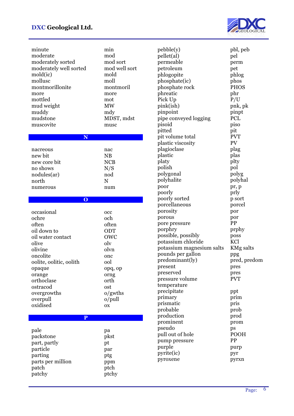

| minute                 | min           |
|------------------------|---------------|
| moderate               | mod           |
| moderately sorted      | mod sort      |
| moderately well sorted | mod well sort |
| mold(ic)               | mold          |
| mollusc                | moll          |
| montmorillonite        | montmoril     |
| more                   | more          |
| mottled                | mot           |
| mud weight             | <b>MW</b>     |
| muddy                  | mdy           |
| mudstone               | MDST, mdst    |
| muscovite              | musc          |
|                        |               |
|                        |               |

| nacreous     | nac        |
|--------------|------------|
| new bit      | <b>NB</b>  |
| new core bit | <b>NCB</b> |
| no shows     | N/S        |
| nodules(ar)  | nod        |
| north        | N          |
| numerous     | num        |
|              |            |

|  |  | $\Omega$ |
|--|--|----------|
|  |  |          |

| occasional              | occ       |
|-------------------------|-----------|
| ochre                   | och       |
| often                   | often     |
| oil down to             | ODT       |
| oil water contact       | OWC       |
| olive                   | olv       |
| olivine                 | olvn      |
| oncolite                | onc       |
| oolite, oolitic, oolith | ool       |
| opaque                  | opq, op   |
| orange                  | orng      |
| orthoclase              | orth      |
| ostracod                | ost       |
| overgrowths             | o/gwths   |
| overpull                | o/pull    |
| oxidised                | <b>OX</b> |
|                         |           |
| P                       |           |
|                         |           |
| pale                    | pa        |
| packstone               | pkst      |
| part, partly            | pt        |
| particle                | par       |
| parting                 | ptg       |
| parts per million       | ppm       |

patch by patch by patch and problems of  $\mathbf{p}$ patchy broken ptchy

| peible(y)                 | pbl, peb         |
|---------------------------|------------------|
| pellet(al)                | pel              |
| permeable                 | perm             |
| petroleum                 | pet              |
| phlogopite                | phlog            |
| phosphate(ic)             | phos             |
| phosphate rock            | <b>PHOS</b>      |
| phreatic                  | phr              |
| Pick Up                   | P/U              |
| pink(ish)                 | pnk, pk          |
| pinpoint                  | pinpt            |
| pipe conveyed logging     | PCL              |
| pisoid                    | piso             |
| pitted                    | pit              |
| pit volume total          | <b>PVT</b>       |
| plastic viscosity         | PV               |
| plagioclase               | plag             |
| plastic                   | plas             |
| platy                     | plty             |
| polish                    | pol              |
| polygonal                 | polyg            |
| polyhalite                | polyhal          |
| poor                      | pr, p            |
| poorly                    | prly             |
| poorly sorted             | p sort           |
| porcellaneous             | porcel           |
| porosity                  | por              |
| porous                    | por              |
| pore pressure             | PP               |
| porphry                   | prphy            |
| possible, possibly        | poss             |
| potassium chloride        | KCl              |
| potassium magnesium salts | <b>KMg</b> salts |
| pounds per gallon         | ppg              |
| predominant(ly)           | pred, predom     |
| present                   | pres             |
| preserved                 | pres             |
| pressure volume           | <b>PVT</b>       |
| temperature               |                  |
| precipitate               | ppt              |
| primary                   | prim             |
| prismatic                 | pris             |
| probable                  | prob             |
| production                | prod             |
| prominent                 | prom             |
| pseudo                    | ps               |
| pull out of hole          | POOH             |
| pump pressure             | PP               |
| purple                    | purp             |
| pyrite(ic)                | pyr              |
| pyroxene                  | pyrxn            |
|                           |                  |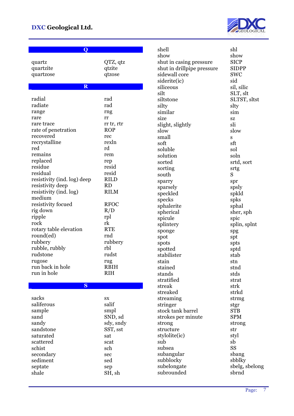

| Q                                                                                                                                                                                                                                                                                                                                                                                     |                                                                                                                                                                                                                                         |
|---------------------------------------------------------------------------------------------------------------------------------------------------------------------------------------------------------------------------------------------------------------------------------------------------------------------------------------------------------------------------------------|-----------------------------------------------------------------------------------------------------------------------------------------------------------------------------------------------------------------------------------------|
| quartz<br>quartzite<br>quartzose                                                                                                                                                                                                                                                                                                                                                      | QTZ, qtz<br>qtzite<br>qtzose                                                                                                                                                                                                            |
| $\overline{\mathbf{R}}$                                                                                                                                                                                                                                                                                                                                                               |                                                                                                                                                                                                                                         |
| radial<br>radiate<br>range<br>rare<br>rare trace<br>rate of penetration<br>recovered<br>recrystalline<br>red<br>remains<br>replaced<br>residue<br>residual<br>resistivity (ind. log) deep<br>resistivity deep<br>resistivity (ind. log)<br>medium<br>resistivity focued<br>rig down<br>ripple<br>rock<br>rotary table elevation<br>round(ed)<br>rubbery<br>rubble, rubbly<br>rudstone | rad<br>rad<br>rng<br>rr<br>rr tr, rtr<br><b>ROP</b><br>rec<br>rexln<br>rd<br>rem<br>rep<br>resid<br>resid<br><b>RILD</b><br><b>RD</b><br><b>RILM</b><br><b>RFOC</b><br>R/D<br>rpl<br>rk<br><b>RTE</b><br>rnd<br>rubbery<br>rbl<br>rudst |
| rugose<br>run back in hole<br>run in hole                                                                                                                                                                                                                                                                                                                                             | rug<br><b>RBIH</b><br><b>RIH</b>                                                                                                                                                                                                        |

### **S**

| sacks<br>saliferous | SX<br>salif |
|---------------------|-------------|
|                     |             |
| sample              | smpl        |
| sand                | SND, sd     |
| sandy               | sdy, sndy   |
| sandstone           | SST, sst    |
| saturated           | sat         |
| scattered           | scat        |
| schist              | sch         |
| secondary           | sec         |
| sediment            | sed         |
| septate             | sep         |
| shale               | SH, sh      |

shell shl show show shut in casing pressure SICP shut in drillpipe pressure SIDPP<br>sidewall core SWC sidewall core siderite(ic) siliceous sil, silic silt SLT, slt siltstone SLTST, sltst silty sltv similar sim size sz slight, slightly sli slow slow small soft sft soluble solu solution soln sorted srtd, sort sortin south sparry spr sparsely spsly<br>speckled spkld speckled specks spks sphalerite sphal<br>spherical sher, sph spherical spicule spintery spintery spintery sponge spg spg spot spt spots spts spotted sptd stabilister stab stain stn stained stnd stands stds stratified strat streak strk streaked strkd streaming strmg stringer stgr stock tank barrel STB strokes per minute SPM strong strong structure str stylolite(ic) styl sub sb subsea SS<br>subangular Sbang<br>shang subangular subblocky<br>subelongate sbelg, s subrounded sbrnd

) sid s srtg S splin, splnt  $s_{\text{b}}$ sbelg, sbelong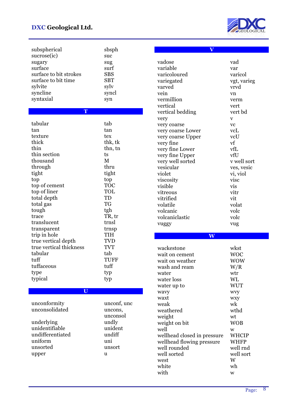

| subspherical<br>sucrose(ic)<br>sugary<br>surface<br>surface to bit strokes<br>surface to bit time<br>sylvite<br>syncline<br>syntaxial                                                                                                                                                                                                | sbsph<br>suc<br>sug<br>surf<br><b>SBS</b><br><b>SBT</b><br>sylv<br>syncl<br>syn                                                                                                                   |
|--------------------------------------------------------------------------------------------------------------------------------------------------------------------------------------------------------------------------------------------------------------------------------------------------------------------------------------|---------------------------------------------------------------------------------------------------------------------------------------------------------------------------------------------------|
| T                                                                                                                                                                                                                                                                                                                                    |                                                                                                                                                                                                   |
| tabular<br>tan<br>texture<br>thick<br>thin<br>thin section<br>thousand<br>through<br>tight<br>top<br>top of cement<br>top of liner<br>total depth<br>total gas<br>tough<br>trace<br>translucent<br>transparent<br>trip in hole<br>true vertical depth<br>true vertical thickness<br>tabular<br>tuff<br>tuffaceous<br>type<br>typical | tab<br>tan<br>tex<br>thk, tk<br>thn, tn<br>ts<br>M<br>thru<br>tight<br>top<br><b>TOC</b><br>TOL<br>TD<br>TG<br>tgh<br>TR, tr<br>trnsl<br>trnsp<br>TIH<br>TVD<br>TVT<br>tab<br>TUFF<br>tuff<br>typ |
|                                                                                                                                                                                                                                                                                                                                      | typ                                                                                                                                                                                               |
| $\overline{\mathbf{U}}$<br>unconformity                                                                                                                                                                                                                                                                                              | unconf, unc                                                                                                                                                                                       |
| unconsolidated                                                                                                                                                                                                                                                                                                                       | uncons,                                                                                                                                                                                           |
| underlying<br>unidentifiable<br>undifferentiated<br>uniform<br>unsorted<br>upper                                                                                                                                                                                                                                                     | unconsol<br>undly<br>unident<br>undiff<br>uni<br>unsort<br>u                                                                                                                                      |

| $\overline{\textbf{V}}$     |             |
|-----------------------------|-------------|
|                             |             |
| vadose                      | vad         |
| variable                    | var         |
| varicoloured                | varicol     |
| variegated                  | vgt, varieg |
| varved                      | vrvd        |
| vein                        | vn          |
| vermillion                  | verm        |
| vertical                    | vert        |
| vertical bedding            | vert bd     |
|                             |             |
| very<br>very coarse         | v<br>vc     |
|                             | vcL         |
| very coarse Lower           | vcU         |
| very coarse Upper           | vf          |
| very fine                   | vfL         |
| very fine Lower             |             |
| very fine Upper             | vfU         |
| very well sorted            | v well sort |
| vesicular                   | ves, vesic  |
| violet                      | vi, viol    |
| viscosity                   | visc        |
| visible                     | vis         |
| vitreous                    | vitr        |
| vitrified                   | vit         |
| volatile                    | volat       |
| volcanic                    | volc        |
| volcaniclastic              | volc        |
| vuggy                       | vug         |
|                             |             |
| $\overline{\textbf{W}}$     |             |
|                             |             |
| wackestone                  | wkst        |
| wait on cement              | woc         |
| wait on weather             | <b>WOW</b>  |
| wash and ream               | W/R         |
| water                       | wtr         |
| water loss                  | WL          |
| water up to                 | WUT         |
| wavy                        | wvy         |
| waxt                        | <b>WXY</b>  |
| weak                        | wk          |
| weathered                   | wthd        |
| weight                      | wt          |
| weight on bit               | <b>WOB</b>  |
| well                        | W           |
| wellhead closed in pressure | WHCIP       |
| wellhead flowing pressure   | <b>WHFP</b> |
|                             |             |
| well rounded                | well rnd    |
| well sorted                 | well sort   |
| west                        | W           |
| white<br>with               | wh          |
|                             | W           |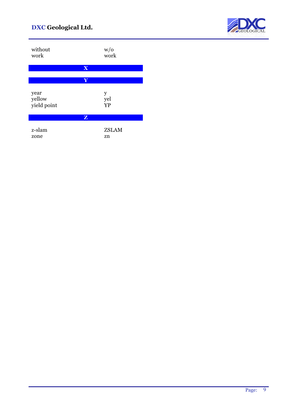

| without      | W/0          |
|--------------|--------------|
| work         | work         |
| X            |              |
| Y            |              |
| year         | y            |
| yellow       | yel          |
| yield point  | <b>YP</b>    |
| $\mathbf{Z}$ |              |
| z-slam       | <b>ZSLAM</b> |
| zone         | zn           |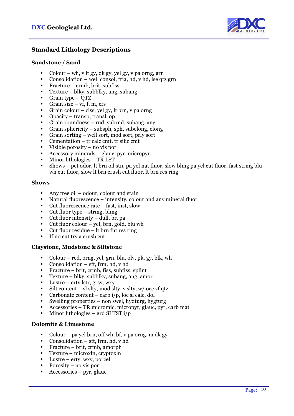

## **Standard Lithology Descriptions**

#### **Sandstone / Sand**

- Colour wh, v lt gy, dk gy, yel gy, v pa orng, grn
- Consolidation well consol, fria, hd, v hd, lse qtz grn
- Fracture crmb, brit, subfiss
- Texture blky, subblky, ang, subang
- Grain type QTZ
- Grain size  $vf$ , f, m, crs
- Grain colour clss, yel gy, lt brn, v pa orng
- Opacity transp, transl, op
- Grain roundness rnd, subrnd, subang, ang
- Grain sphericity subsph, sph, subelong, elong
- Grain sorting well sort, mod sort, prly sort
- Cementation tr calc cmt, tr silic cmt
- Visible porosity  $-$  no vis por
- Accessory minerals glauc, pyr, micropyr
- Minor lithologies TR LST
- Shows pet odor, lt brn oil stn, pa yel nat fluor, slow blmg pa yel cut fluor, fast strmg blu wh cut fluor, slow lt brn crush cut fluor, lt brn res ring

#### **Shows**

- Any free oil odour, colour and stain
- Natural fluorescence intensity, colour and any mineral fluor
- Cut fluorescence rate fast, inst, slow
- Cut fluor type strmg, blmg
- Cut fluor intensity  $-$  dull, br, pa
- Cut fluor colour yel, brn, gold, blu wh
- Cut fluor residue lt brn fnt res ring
- If no cut try a crush cut

#### **Claystone, Mudstone & Siltstone**

- Colour red, orng, yel, grn, blu, olv, pk, gy, blk, wh
- Consolidation sft, frm, hd, v hd
- Fracture brit, crmb, fiss, subfiss, splint
- Texture blky, subblky, subang, ang, amor
- Lustre erty lstr, grsy, wxy
- Silt content sl slty, mod slty, v slty, w/ occ vf qtz
- Carbonate content carb  $i/p$ , loc sl calc, dol
- Swelling properties non swel, hydturg, hygturg
- Accessories TR micromic, micropyr, glauc, pyr, carb mat
- Minor lithologies grd SLTST  $i/p$

#### **Dolomite & Limestone**

- Colour pa yel brn, off wh, bf, v pa orng, m dk gy
- Consolidation sft, frm, hd, v hd
- Fracture brit, crmb, amorph
- Texture microxln, cryptoxln
- Lustre  $erty$ , wxy, porcel
- Porosity no vis por
- Accessories pyr, glauc